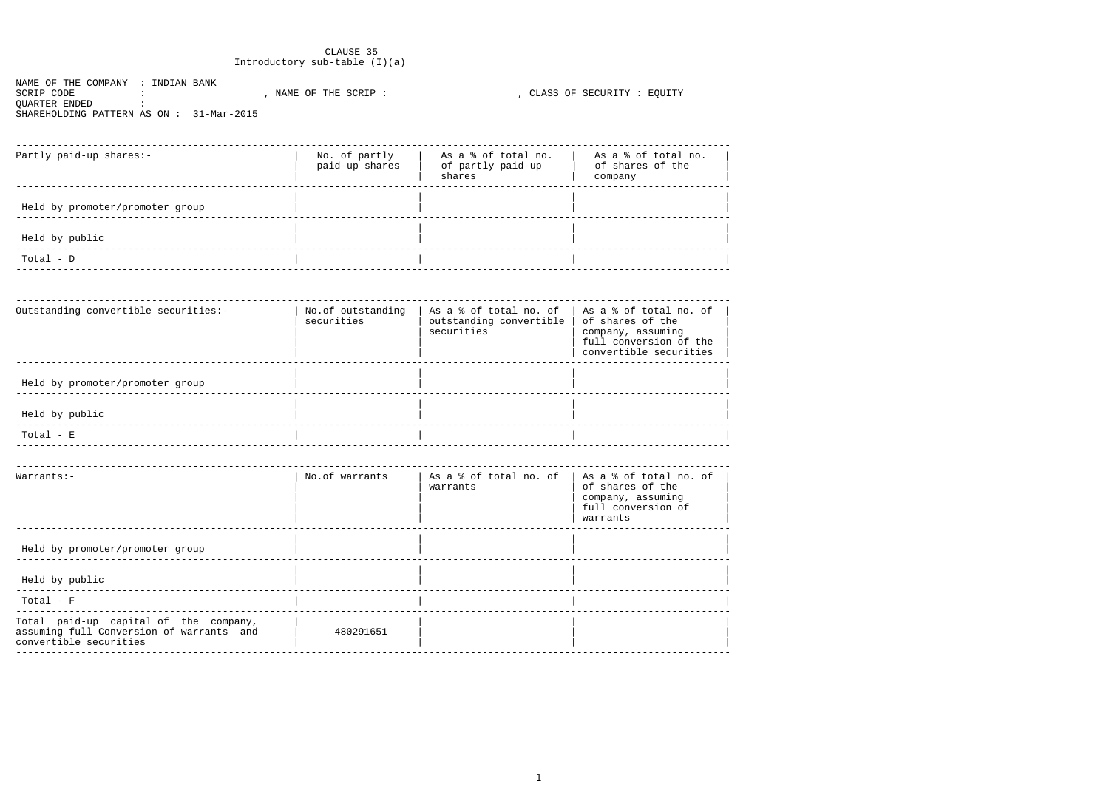## CLAUSE 35 Introductory sub-table (I)(a)

NAME OF THE COMPANY : INDIAN BANK SCRIP CODE :<br>SCRIP CODE :<br>QUARTER ENDED : , CLASS OF SECURITY : EQUITY SHAREHOLDING PATTERN AS ON : 31-Mar-2015

| Partly paid-up shares:-         | No. of partly<br>paid-up shares | As a % of total no.<br>of partly paid-up<br>shares | As a % of total no.<br>of shares of the<br>company |
|---------------------------------|---------------------------------|----------------------------------------------------|----------------------------------------------------|
| Held by promoter/promoter group |                                 |                                                    |                                                    |
| Held by public                  |                                 |                                                    |                                                    |
| $Total - D$                     |                                 |                                                    |                                                    |

| Outstanding convertible securities:- | No.of outstanding<br>securities | As a $\text{\$}$ of total no. of   As a $\text{\$}$ of total no. of<br>outstanding convertible<br>securities | of shares of the<br>company, assuming<br>full conversion of the<br>convertible securities |
|--------------------------------------|---------------------------------|--------------------------------------------------------------------------------------------------------------|-------------------------------------------------------------------------------------------|
| Held by promoter/promoter group      |                                 |                                                                                                              |                                                                                           |
| Held by public                       |                                 |                                                                                                              |                                                                                           |
| $Total - E$                          |                                 |                                                                                                              |                                                                                           |

| $Warrants:-$                                                                                                | No.of warrants | As a & of total no. of   As a & of total no. of<br>warrants | of shares of the<br>company, assuming<br>full conversion of<br>warrants |
|-------------------------------------------------------------------------------------------------------------|----------------|-------------------------------------------------------------|-------------------------------------------------------------------------|
| Held by promoter/promoter group                                                                             |                |                                                             |                                                                         |
| Held by public                                                                                              |                |                                                             |                                                                         |
| $Total - F$                                                                                                 |                |                                                             |                                                                         |
| Total paid-up capital of the company,<br>assuming full Conversion of warrants and<br>convertible securities | 480291651      |                                                             |                                                                         |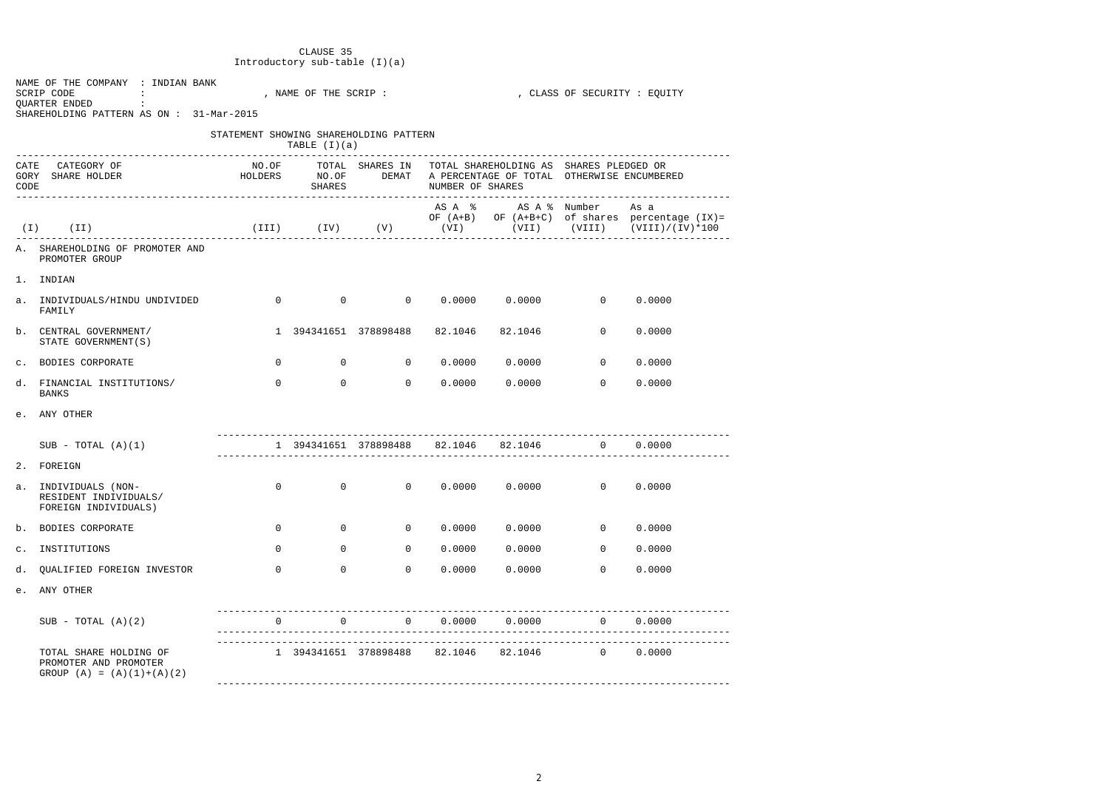# CLAUSE 35 Introductory sub-table (I)(a)

|                      | NAME OF THE COMPANY : INDIAN BANK<br>SCRIP CODE<br>and the state of the state of the<br>QUARTER ENDED :<br>SHAREHOLDING PATTERN AS ON : 31-Mar-2015 |                                                                                                                                                                                                                                                                                                                                    | , NAME OF THE SCRIP : |                            |                         |                                                                                                                   | , CLASS OF SECURITY : EQUITY |                                                                                                           |
|----------------------|-----------------------------------------------------------------------------------------------------------------------------------------------------|------------------------------------------------------------------------------------------------------------------------------------------------------------------------------------------------------------------------------------------------------------------------------------------------------------------------------------|-----------------------|----------------------------|-------------------------|-------------------------------------------------------------------------------------------------------------------|------------------------------|-----------------------------------------------------------------------------------------------------------|
|                      |                                                                                                                                                     | STATEMENT SHOWING SHAREHOLDING PATTERN                                                                                                                                                                                                                                                                                             | TABLE $(I)(a)$        |                            |                         |                                                                                                                   |                              |                                                                                                           |
| CATE<br>GORY<br>CODE | CATEGORY OF<br>HOLDERS NO.OF<br>SHARE HOLDER                                                                                                        |                                                                                                                                                                                                                                                                                                                                    |                       | SHARES                     | NUMBER OF SHARES        | NO.OF TOTAL SHARES IN TOTAL SHAREHOLDING AS SHARES PLEDGED OR<br>DEMAT A PERCENTAGE OF TOTAL OTHERWISE ENCUMBERED |                              |                                                                                                           |
|                      | $(I)$ $(II)$                                                                                                                                        |                                                                                                                                                                                                                                                                                                                                    |                       |                            |                         | AS A % AS A % Number As a                                                                                         |                              | OF (A+B) OF (A+B+C) of shares percentage (IX)=<br>(III) (IV) (V) (VI) (VII) (VIII) (VIII) (VIII)/(IV)*100 |
|                      | A. SHAREHOLDING OF PROMOTER AND<br>PROMOTER GROUP                                                                                                   |                                                                                                                                                                                                                                                                                                                                    |                       |                            |                         |                                                                                                                   |                              |                                                                                                           |
|                      | 1. INDIAN                                                                                                                                           |                                                                                                                                                                                                                                                                                                                                    |                       |                            |                         |                                                                                                                   |                              |                                                                                                           |
|                      | a. INDIVIDUALS/HINDU UNDIVIDED<br>FAMILY                                                                                                            | $\overline{a}$ and $\overline{a}$ and $\overline{a}$ and $\overline{a}$ and $\overline{a}$ and $\overline{a}$ and $\overline{a}$ and $\overline{a}$ and $\overline{a}$ and $\overline{a}$ and $\overline{a}$ and $\overline{a}$ and $\overline{a}$ and $\overline{a}$ and $\overline{a}$ and $\overline{a}$ and $\overline{a}$ and |                       |                            |                         | $0$ 0 0.0000 0.0000 0                                                                                             |                              | 0.0000                                                                                                    |
|                      | b. CENTRAL GOVERNMENT/<br>STATE GOVERNMENT (S)                                                                                                      |                                                                                                                                                                                                                                                                                                                                    |                       |                            |                         | 1 394341651 378898488 82.1046 82.1046                                                                             | $\Omega$                     | 0.0000                                                                                                    |
|                      | c. BODIES CORPORATE                                                                                                                                 | $\Omega$                                                                                                                                                                                                                                                                                                                           |                       |                            |                         | $0 \qquad \qquad 0 \qquad \qquad 0.0000 \qquad \qquad 0.0000$                                                     | $\overline{0}$               | 0.0000                                                                                                    |
|                      | d. FINANCIAL INSTITUTIONS/<br>BANKS                                                                                                                 | $\Omega$                                                                                                                                                                                                                                                                                                                           |                       | $\overline{0}$<br>$\Omega$ | 0.0000                  | 0.0000                                                                                                            | $\Omega$                     | 0.0000                                                                                                    |
|                      | e. ANY OTHER                                                                                                                                        |                                                                                                                                                                                                                                                                                                                                    |                       |                            |                         |                                                                                                                   |                              |                                                                                                           |
|                      | $SUB - TOTAL (A)(1)$                                                                                                                                |                                                                                                                                                                                                                                                                                                                                    |                       |                            |                         | 1 394341651 378898488 82.1046 82.1046                                                                             | $\overline{0}$               | 0.0000                                                                                                    |
|                      | 2. FOREIGN                                                                                                                                          |                                                                                                                                                                                                                                                                                                                                    |                       |                            |                         |                                                                                                                   |                              |                                                                                                           |
|                      | a. INDIVIDUALS (NON-<br>RESIDENT INDIVIDUALS/<br>FOREIGN INDIVIDUALS)                                                                               | $\mathsf{O}$                                                                                                                                                                                                                                                                                                                       | $\mathsf{O}$          | $\overline{0}$             | 0.0000                  | 0.0000                                                                                                            | $\overline{0}$               | 0.0000                                                                                                    |
|                      | b. BODIES CORPORATE                                                                                                                                 | $\mathbf 0$                                                                                                                                                                                                                                                                                                                        | $\overline{0}$        | $\overline{0}$             | 0.0000                  | 0.0000                                                                                                            | $\mathsf{O}$                 | 0.0000                                                                                                    |
| $\mathtt{C}$ .       | INSTITUTIONS                                                                                                                                        | $\mathsf{O}$                                                                                                                                                                                                                                                                                                                       | $\overline{0}$        | $\overline{0}$             | 0.0000                  | 0.0000                                                                                                            | $\mathsf{O}$                 | 0.0000                                                                                                    |
| d.                   | QUALIFIED FOREIGN INVESTOR                                                                                                                          | $\mathsf{O}$                                                                                                                                                                                                                                                                                                                       | $\overline{0}$        | $\mathsf{O}$               | 0.0000                  | 0.0000                                                                                                            | $\overline{0}$               | 0.0000                                                                                                    |
| e.                   | ANY OTHER                                                                                                                                           |                                                                                                                                                                                                                                                                                                                                    |                       |                            |                         |                                                                                                                   |                              |                                                                                                           |
|                      | SUB - TOTAL $(A)(2)$                                                                                                                                | $\Omega$                                                                                                                                                                                                                                                                                                                           | $\overline{0}$        |                            | $0 \t 0.0000 \t 0.0000$ |                                                                                                                   | $0 \t 0.0000$                |                                                                                                           |
|                      | TOTAL SHARE HOLDING OF<br>PROMOTER AND PROMOTER<br>GROUP $(A) = (A)(1)+(A)(2)$                                                                      |                                                                                                                                                                                                                                                                                                                                    |                       |                            |                         | 1 394341651 378898488 82.1046 82.1046 0                                                                           |                              | 0.0000                                                                                                    |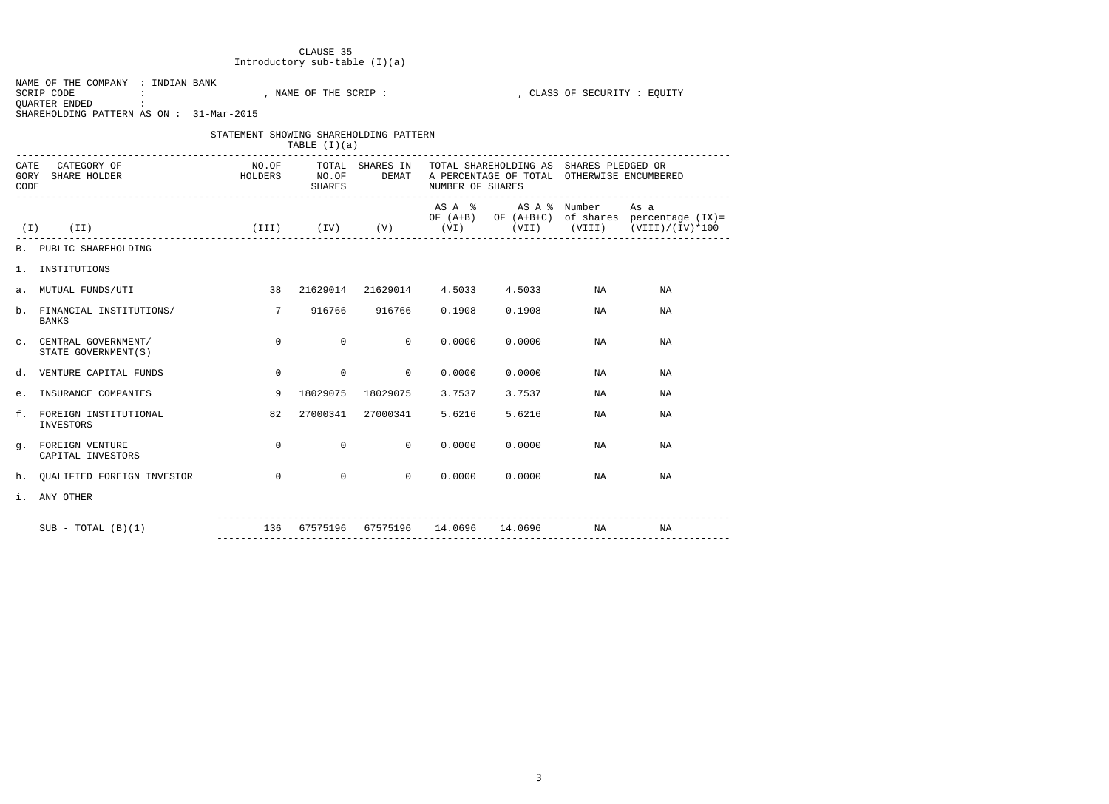# CLAUSE 35 Introductory sub-table (I)(a)

| NAME OF THE COMPANY : INDIAN BANK<br>SCRIP CODE<br><b>Contract</b><br>QUARTER ENDED<br><b>Contract Contract</b><br>SHAREHOLDING PATTERN AS ON : 31-Mar-2015 |                                        | , NAME OF THE SCRIP : |                | , CLASS OF SECURITY : EQUITY          |                                                                                                                                                             |    |                                                                                                     |  |  |  |
|-------------------------------------------------------------------------------------------------------------------------------------------------------------|----------------------------------------|-----------------------|----------------|---------------------------------------|-------------------------------------------------------------------------------------------------------------------------------------------------------------|----|-----------------------------------------------------------------------------------------------------|--|--|--|
| ___________________________________                                                                                                                         | STATEMENT SHOWING SHAREHOLDING PATTERN | TABLE $(I)(a)$        |                |                                       |                                                                                                                                                             |    |                                                                                                     |  |  |  |
| CATEGORY OF<br>CATE<br>HOLDERS NO.OF<br>GORY<br>SHARE HOLDER<br>CODE<br>---------------------------------                                                   |                                        | SHARES                |                | NUMBER OF SHARES                      | NO.OF TOTAL SHARES IN TOTAL SHAREHOLDING AS SHARES PLEDGED OR<br>DEMAT A PERCENTAGE OF TOTAL OTHERWISE ENCUMBERED<br>-------------------------------------- |    |                                                                                                     |  |  |  |
| $(I)$ $(II)$                                                                                                                                                |                                        |                       |                | $(TII)$ $(IV)$ $(V)$ $(VI)$           | AS A % AS A % Number                                                                                                                                        |    | As a<br>OF $(A+B)$ OF $(A+B+C)$ of shares percentage $(IX) =$<br>$(VII)$ $(VIII)$ $(VIII)/(IV)*100$ |  |  |  |
| B. PUBLIC SHAREHOLDING                                                                                                                                      |                                        |                       |                |                                       |                                                                                                                                                             |    |                                                                                                     |  |  |  |
| 1. INSTITUTIONS                                                                                                                                             |                                        |                       |                |                                       |                                                                                                                                                             |    |                                                                                                     |  |  |  |
| a. MUTUAL FUNDS/UTI                                                                                                                                         | 38                                     |                       |                |                                       | 21629014 21629014 4.5033 4.5033                                                                                                                             | NA | ΝA                                                                                                  |  |  |  |
| b. FINANCIAL INSTITUTIONS/<br>BANKS                                                                                                                         | $\overline{7}$                         |                       | 916766 916766  | 0.1908                                | 0.1908                                                                                                                                                      | NA | ΝA                                                                                                  |  |  |  |
| C. CENTRAL GOVERNMENT/<br>STATE GOVERNMENT (S)                                                                                                              | $\overline{0}$                         | $\overline{0}$        | $\overline{0}$ | 0.0000                                | 0.0000                                                                                                                                                      | NA | ΝA                                                                                                  |  |  |  |
| d. VENTURE CAPITAL FUNDS                                                                                                                                    | $\overline{0}$                         | $\overline{0}$        | $\overline{0}$ | 0.0000                                | 0.0000                                                                                                                                                      | NA | ΝA                                                                                                  |  |  |  |
| e. INSURANCE COMPANIES                                                                                                                                      | 9                                      | 18029075              | 18029075       | 3.7537                                | 3.7537                                                                                                                                                      | NA | ΝA                                                                                                  |  |  |  |
| f. FOREIGN INSTITUTIONAL<br>INVESTORS                                                                                                                       | 82                                     | 27000341              | 27000341       | 5.6216                                | 5.6216                                                                                                                                                      | NA | ΝA                                                                                                  |  |  |  |
| g. FOREIGN VENTURE<br>CAPITAL INVESTORS                                                                                                                     | $\overline{0}$                         | $\overline{0}$        | $\overline{0}$ | 0.0000                                | 0.0000                                                                                                                                                      | NA | ΝA                                                                                                  |  |  |  |
| h. QUALIFIED FOREIGN INVESTOR                                                                                                                               | $\overline{0}$                         | $\overline{0}$        | $\overline{0}$ |                                       | $0.0000$ $0.0000$                                                                                                                                           | NA | ΝA                                                                                                  |  |  |  |
| i. ANY OTHER                                                                                                                                                |                                        |                       |                |                                       |                                                                                                                                                             |    |                                                                                                     |  |  |  |
| $SUB - TOTAL (B)(1)$                                                                                                                                        |                                        |                       |                | 136 67575196 67575196 14.0696 14.0696 |                                                                                                                                                             | NA | NA                                                                                                  |  |  |  |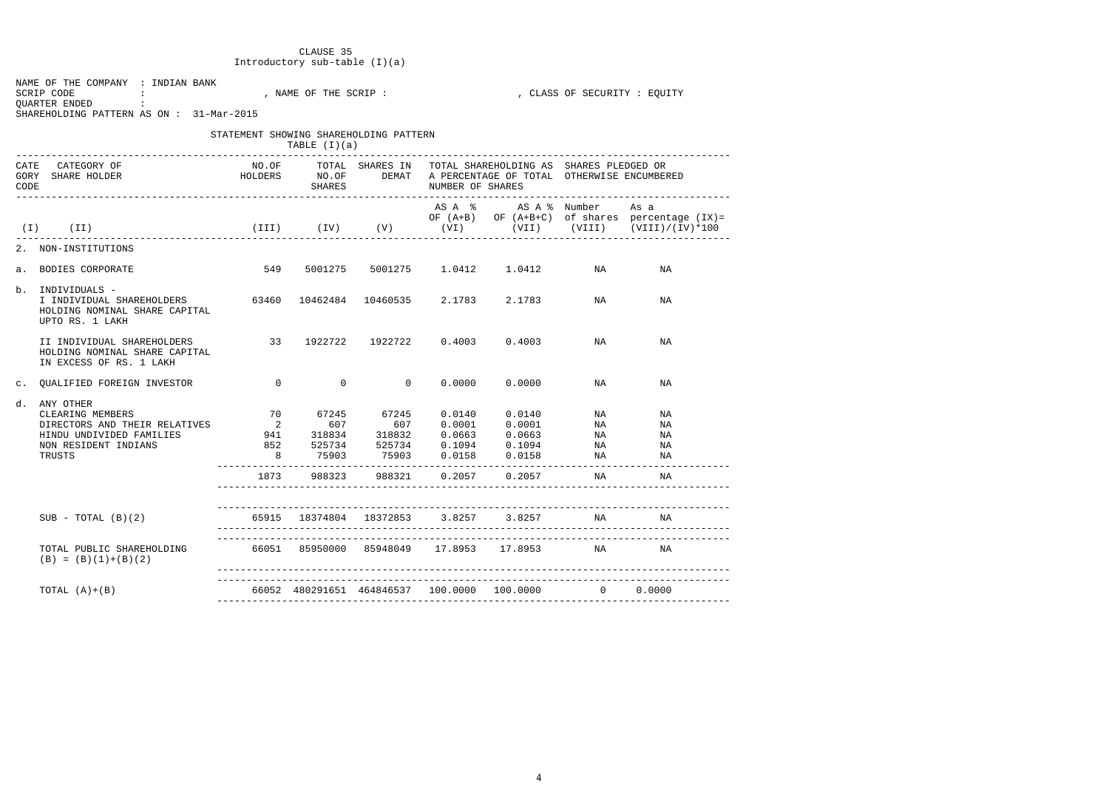## CLAUSE 35 Introductory sub-table (I)(a)

| NAME OF THE COMPANY : INDIAN BANK       |  |                     |  |  |                            |  |
|-----------------------------------------|--|---------------------|--|--|----------------------------|--|
| SCRIP CODE                              |  | NAME OF THE SCRIP : |  |  | CLASS OF SECURITY : EOUITY |  |
| OUARTER ENDED                           |  |                     |  |  |                            |  |
| SHAREHOLDING PATTERN AS ON: 31-Mar-2015 |  |                     |  |  |                            |  |

|  | STATEMENT SHOWING SHAREHOLDING PATTERN                                                        |  |
|--|-----------------------------------------------------------------------------------------------|--|
|  | $\mathsf{mnmm}$ $\mathsf{m}$ $\mathsf{l}$ $\mathsf{m}$ $\mathsf{l}$ $\mathsf{m}$ $\mathsf{l}$ |  |

| _______________________________                                                                                                                         | TABLE $(I)(a)$ |                                             |                  |                                                                                                                                                                          |                            |                                                       |  |
|---------------------------------------------------------------------------------------------------------------------------------------------------------|----------------|---------------------------------------------|------------------|--------------------------------------------------------------------------------------------------------------------------------------------------------------------------|----------------------------|-------------------------------------------------------|--|
| CATE CATEGORY OF<br>HOLDERS NO.OF DEMAT A PERCENTAGE OF TOTAL OTHERWISE ENCUMBERED<br>GORY SHARE HOLDER<br>CODE<br>------------------------------------ | <b>SHARES</b>  |                                             | NUMBER OF SHARES | NO.OF TOTAL SHARES IN TOTAL SHAREHOLDING AS SHARES PLEDGED OR                                                                                                            |                            |                                                       |  |
| (II) (II) (III) (IV) (V) (VI) (VII) (VII) (VII) (VIII) (VIII) (VIII) (VIII) (IV)                                                                        |                |                                             |                  | AS A % AS A % Number As a                                                                                                                                                |                            | OF $(A+B)$ OF $(A+B+C)$ of shares percentage $(IX) =$ |  |
| -------------------------------------<br>2. NON-INSTITUTIONS                                                                                            |                |                                             |                  |                                                                                                                                                                          |                            |                                                       |  |
| a. BODIES CORPORATE                                                                                                                                     |                |                                             |                  | 549 5001275 5001275 1.0412 1.0412 NA                                                                                                                                     |                            | ΝA                                                    |  |
| b.<br>INDIVIDUALS -<br>I INDIVIDUAL SHAREHOLDERS 63460 10462484 10460535 2.1783 2.1783<br>HOLDING NOMINAL SHARE CAPITAL<br>UPTO RS. 1 LAKH              |                |                                             |                  |                                                                                                                                                                          | NA                         | ΝA                                                    |  |
| II INDIVIDUAL SHAREHOLDERS 33 1922722 1922722 0.4003 0.4003 NA<br>HOLDING NOMINAL SHARE CAPITAL<br>IN EXCESS OF RS. 1 LAKH                              |                |                                             |                  |                                                                                                                                                                          |                            | NA                                                    |  |
| c. QUALIFIED FOREIGN INVESTOR 0                                                                                                                         |                | $\overline{0}$ 0                            |                  | 0.0000000000                                                                                                                                                             | NA                         | ΝA                                                    |  |
| ANY OTHER<br>d.<br>CLEARING MEMBERS<br>HINDU UNDIVIDED FAMILIES<br>NON RESIDENT INDIANS<br>TRUSTS                                                       |                |                                             |                  | 70 67245 67245 0.0140 0.0140<br>941 318834 318832 0.0663 0.0663<br>852 525734 525734 0.1094 0.1094<br>8 75903 75903 0.0158 0.0158<br>1873 988323 988321 0.2057 0.2057 NA | NA<br>NA<br>NA<br>NA<br>NA | ΝA<br>ΝA<br>ΝA<br>ΝA<br>NA<br>NA<br>___________       |  |
| $SUB - TOTAL (B)(2)$                                                                                                                                    |                |                                             |                  | 65915 18374804 18372853 3.8257 3.8257 NA                                                                                                                                 |                            | NA                                                    |  |
| TOTAL PUBLIC SHAREHOLDING<br>$(B) = (B) (1) + (B) (2)$                                                                                                  |                | 66051 85950000 85948049 17.8953 17.8953     |                  |                                                                                                                                                                          | NA                         | ΝA                                                    |  |
| TOTAL $(A)+(B)$                                                                                                                                         |                | 66052 480291651 464846537 100.0000 100.0000 |                  |                                                                                                                                                                          | $\Omega$                   | 0.0000                                                |  |
|                                                                                                                                                         |                |                                             |                  |                                                                                                                                                                          |                            |                                                       |  |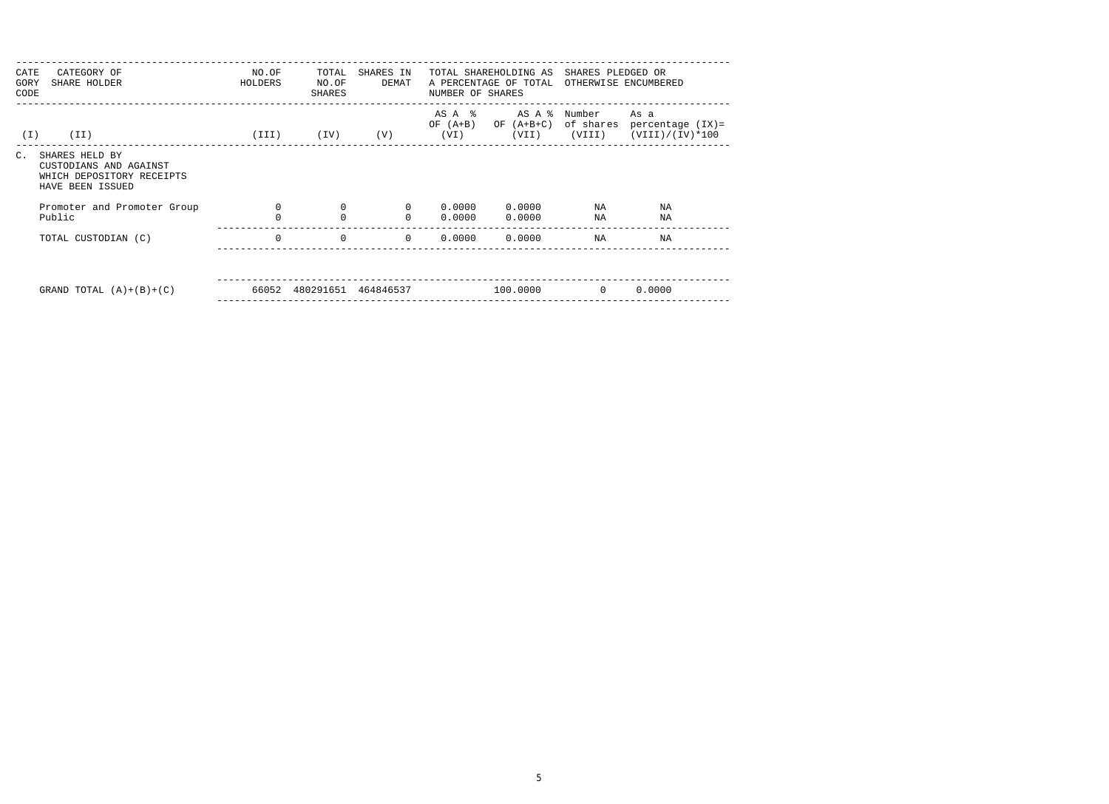| CATE<br>GORY<br>CODE | CATEGORY OF<br>SHARE HOLDER                                                               | NO.OF<br>HOLDERS | TOTAL<br>NO.OF<br>SHARES     | SHARES IN<br>DEMAT | NUMBER OF SHARES             | TOTAL SHAREHOLDING AS<br>A PERCENTAGE OF TOTAL | SHARES PLEDGED OR   | OTHERWISE ENCUMBERED                                   |  |
|----------------------|-------------------------------------------------------------------------------------------|------------------|------------------------------|--------------------|------------------------------|------------------------------------------------|---------------------|--------------------------------------------------------|--|
| ( I )                | (II)                                                                                      |                  | $(\text{III})$ $(\text{IV})$ | (V)                | AS A %<br>$OF (A+B)$<br>(VI) | AS A %<br>OF $(A+B+C)$<br>(VII)                | Number<br>of shares | As a<br>percentage (IX)=<br>$(VIII)$ $(VIII)/(IV)*100$ |  |
| $C$ .                | SHARES HELD BY<br>CUSTODIANS AND AGAINST<br>WHICH DEPOSITORY RECEIPTS<br>HAVE BEEN ISSUED |                  |                              |                    |                              |                                                |                     |                                                        |  |
|                      | Promoter and Promoter Group                                                               | $\Omega$         | $\mathbf 0$                  | $\Omega$           | 0.0000                       | 0.0000                                         | NA                  | ΝA                                                     |  |
|                      | Public                                                                                    |                  | 0                            | $\Omega$           | 0.0000                       | 0.0000                                         | ΝA                  | NA                                                     |  |
|                      | TOTAL CUSTODIAN (C)                                                                       | $\Omega$         | 0                            | $\Omega$           |                              | $0.0000$ $0.0000$                              | NA                  | NA                                                     |  |
|                      |                                                                                           |                  |                              |                    |                              |                                                |                     |                                                        |  |
|                      | GRAND TOTAL $(A)+(B)+(C)$                                                                 |                  | 66052 480291651              | 464846537          |                              | 100.0000                                       | $\overline{0}$      | 0.0000                                                 |  |
|                      |                                                                                           |                  |                              |                    |                              |                                                |                     |                                                        |  |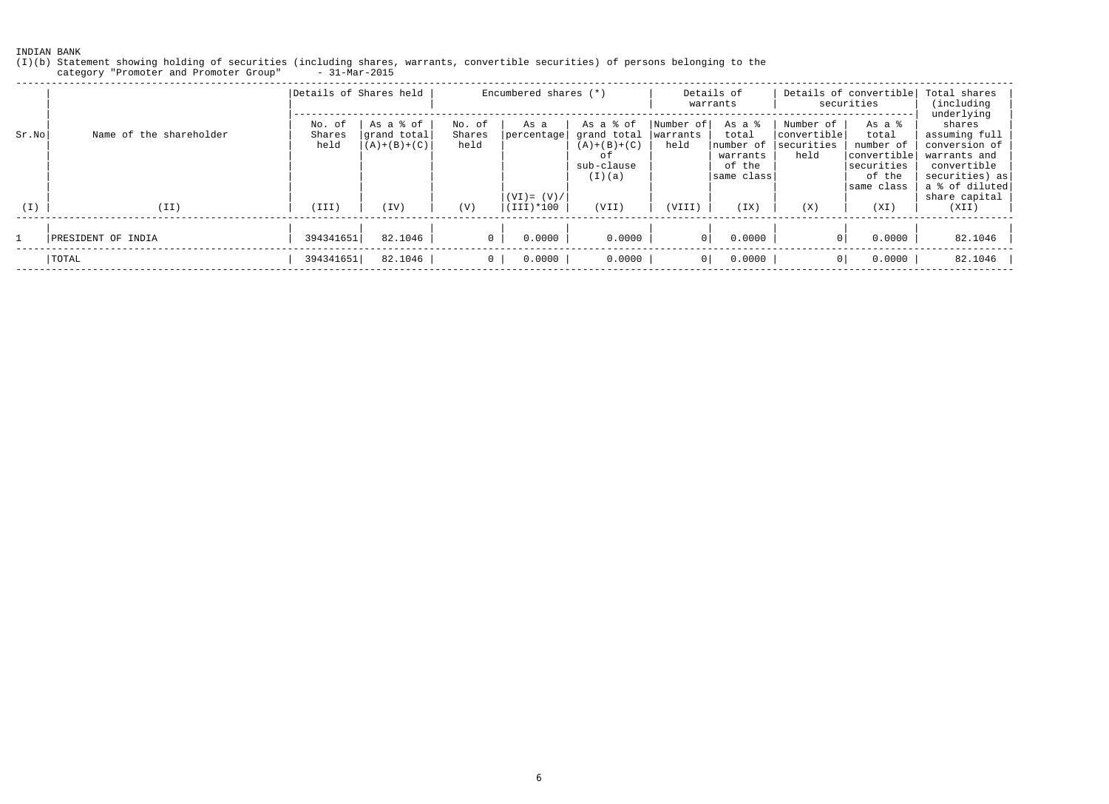(I)(b) Statement showing holding of securities (including shares, warrants, convertible securities) of persons belonging to the category "Promoter and Promoter Group" - 31-Mar-2015

|       |                         | Details of Shares held   |                                           |                          | Encumbered shares (*)       |                                                                         | Details of<br>warrants        |                                                                  | Details of convertible<br>securities            |                                                                     | Total shares<br>(including)                                                                             |
|-------|-------------------------|--------------------------|-------------------------------------------|--------------------------|-----------------------------|-------------------------------------------------------------------------|-------------------------------|------------------------------------------------------------------|-------------------------------------------------|---------------------------------------------------------------------|---------------------------------------------------------------------------------------------------------|
| Sr.No | Name of the shareholder | No. of<br>Shares<br>held | As a % of<br>grand total<br>$(A)+(B)+(C)$ | No. of<br>Shares<br>held | As a<br> percentage         | As a % of<br>grand total<br>$(A)+(B)+(C)$<br>оf<br>sub-clause<br>(I)(a) | Number of<br>warrants<br>held | As a %<br>total<br>number of<br>warrants<br>of the<br>same class | Number of<br>convertible<br> securities<br>held | As a %<br>total<br>number of<br>convertible<br>securities<br>of the | underlying<br>shares<br>assuming full<br>conversion of<br>warrants and<br>convertible<br>securities) as |
| (I)   | (II)                    | (III)                    | (TV)                                      | (V)                      | $(VI) = (V) /$<br>(III)*100 | (VII)                                                                   | (VIII)                        | (TX)                                                             | (X)                                             | same class<br>(XI)                                                  | a % of diluted<br>share capital<br>(XII)                                                                |
|       | PRESIDENT OF INDIA      | 394341651                | 82.1046                                   |                          | 0.0000                      | 0.0000                                                                  | 0 <sup>1</sup>                | 0.0000                                                           |                                                 | 0.0000                                                              | 82.1046                                                                                                 |
|       | TOTAL                   | 394341651                | 82.1046                                   | 0                        | 0.0000                      | 0.0000                                                                  | $\overline{0}$                | 0.0000                                                           | 0                                               | 0.0000                                                              | $82.1046$                                                                                               |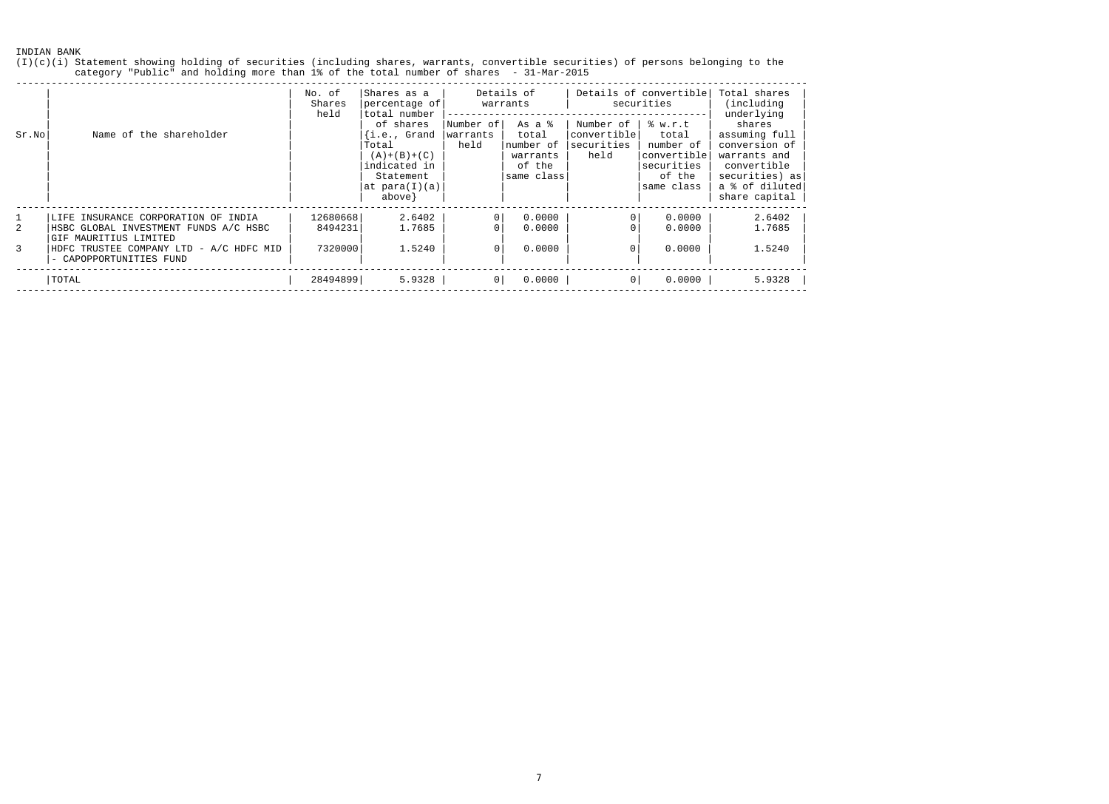(I)(c)(i) Statement showing holding of securities (including shares, warrants, convertible securities) of persons belonging to the category "Public" and holding more than 1% of the total number of shares - 31-Mar-2015

|        | Name of the shareholder                                                                                                                             | No. of<br>Shares<br>held       | Shares as a<br>percentage of<br>total number                                                                               | Details of<br>warrants        |                                                                  | Details of convertible<br>securities           | Total shares<br>(including)<br>underlying                                          |                                                                                                                              |
|--------|-----------------------------------------------------------------------------------------------------------------------------------------------------|--------------------------------|----------------------------------------------------------------------------------------------------------------------------|-------------------------------|------------------------------------------------------------------|------------------------------------------------|------------------------------------------------------------------------------------|------------------------------------------------------------------------------------------------------------------------------|
| Sr.No  |                                                                                                                                                     |                                | of shares<br>$\{i.e., \; Grand\}$<br>Total<br>$(A) + (B) + (C)$<br>indicated in<br>Statement<br>at para(I)(a)<br>$above$ } | Number of<br>warrants<br>held | As a %<br>total<br>number of<br>warrants<br>of the<br>same class | Number of<br>convertible<br>securities<br>held | 8 w.r.t<br>total<br>number of<br>convertible<br>securities<br>of the<br>same class | shares<br>assuming full<br>conversion of<br>warrants and<br>convertible<br>securities) as<br>a % of diluted<br>share capital |
| 2<br>3 | LIFE INSURANCE CORPORATION OF INDIA<br>HSBC GLOBAL INVESTMENT FUNDS A/C HSBC<br>GIF MAURITIUS LIMITED<br>- A/C HDFC MID<br>HDFC TRUSTEE COMPANY LTD | 12680668<br>8494231<br>7320000 | 2.6402<br>1.7685<br>1.5240                                                                                                 | $\mathbf{0}$<br>$\Omega$      | 0.0000<br>0.0000<br>0.0000                                       | 0 <sup>1</sup>                                 | 0.0000<br>0.0000<br>0.0000                                                         | 2.6402<br>1.7685<br>1.5240                                                                                                   |
|        | - CAPOPPORTUNITIES FUND<br>TOTAL                                                                                                                    | 28494899                       | 5.9328                                                                                                                     | 0                             | 0.0000                                                           | 0                                              | 0.0000                                                                             | 5.9328                                                                                                                       |

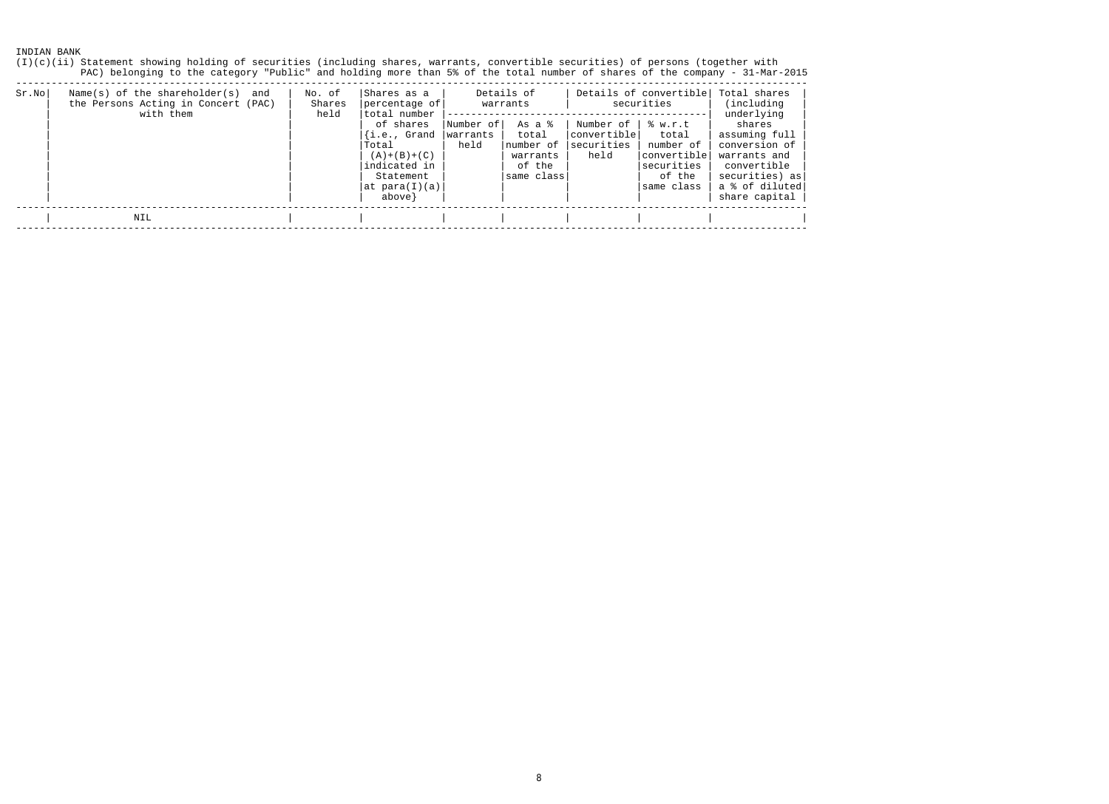(I)(c)(ii) Statement showing holding of securities (including shares, warrants, convertible securities) of persons (together with PAC) belonging to the category "Public" and holding more than 5% of the total number of shares of the company - 31-Mar-2015 --------------------------------------------------------------------------------------------------------------------------------------

| $Sr$ . No | Name(s) of the shareholder(s)<br>and<br>the Persons Acting in Concert (PAC)<br>with them | No. of<br>Shares<br>held | Shares as a<br>percentage of<br>total number<br>of shares<br>{i.e., Grand<br>Total<br>$(A) + (B) + (C)$<br>indicated in<br>Statement<br> at para(I)(a)<br>$above$ } | Number of <br>warrants<br>held | Details of<br>warrants<br>As a %<br>total<br>Inumber of<br>warrants<br>of the<br>same class | Number of<br> convertible <br>securities<br>held | Details of convertible<br>securities<br>8 w.r.t<br>total<br>number of<br>'convertible <br>securities<br>of the<br>same class | Total shares<br>(including)<br>underlying<br>shares<br>assuming full<br>conversion of<br>warrants and<br>convertible<br>securities) as<br>a % of diluted<br>share capital |
|-----------|------------------------------------------------------------------------------------------|--------------------------|---------------------------------------------------------------------------------------------------------------------------------------------------------------------|--------------------------------|---------------------------------------------------------------------------------------------|--------------------------------------------------|------------------------------------------------------------------------------------------------------------------------------|---------------------------------------------------------------------------------------------------------------------------------------------------------------------------|
|           | NIL                                                                                      |                          |                                                                                                                                                                     |                                |                                                                                             |                                                  |                                                                                                                              |                                                                                                                                                                           |

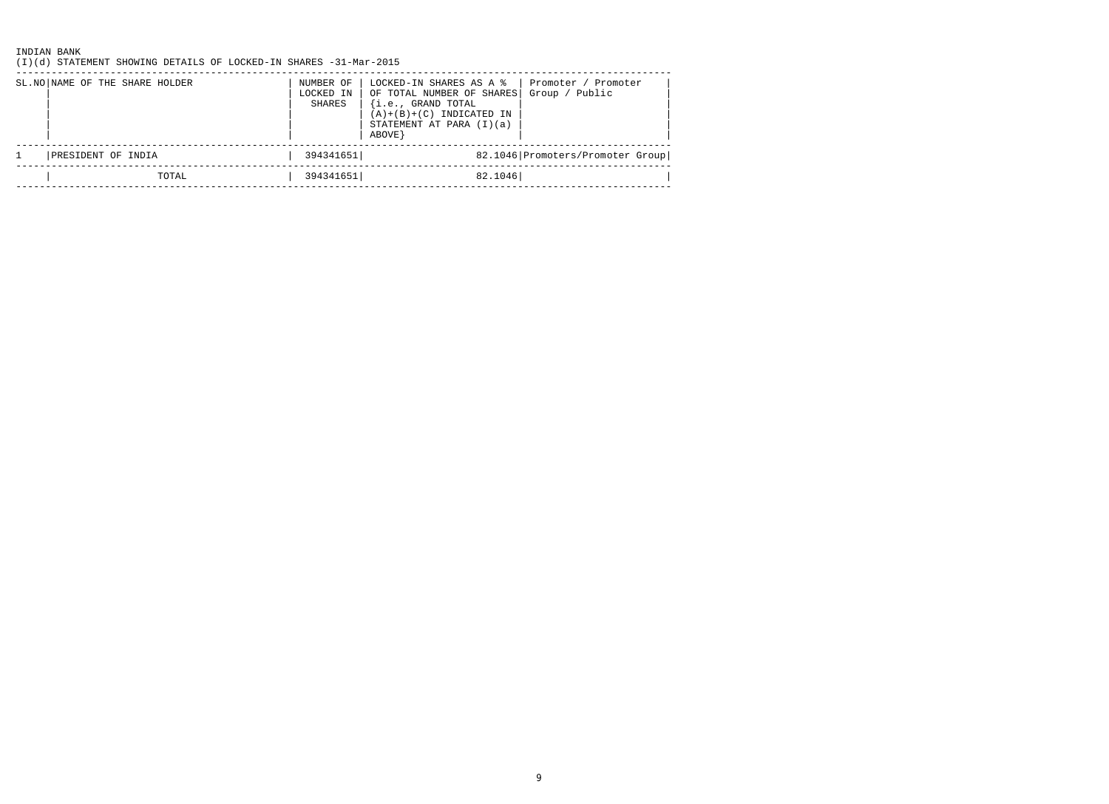(I)(d) STATEMENT SHOWING DETAILS OF LOCKED-IN SHARES -31-Mar-2015

| Group / Public<br>OF TOTAL NUMBER OF SHARES<br>LOCKED IN<br>$\{i.e.,$ GRAND TOTAL<br>SHARES<br>$(A)+(B)+(C)$ INDICATED IN<br>STATEMENT AT PARA (I)(a)<br>ABOVE } |  |
|------------------------------------------------------------------------------------------------------------------------------------------------------------------|--|
| 82.1046 Promoters/Promoter Group<br>394341651<br>PRESIDENT OF INDIA                                                                                              |  |
| 82.1046<br>394341651<br>TOTAL                                                                                                                                    |  |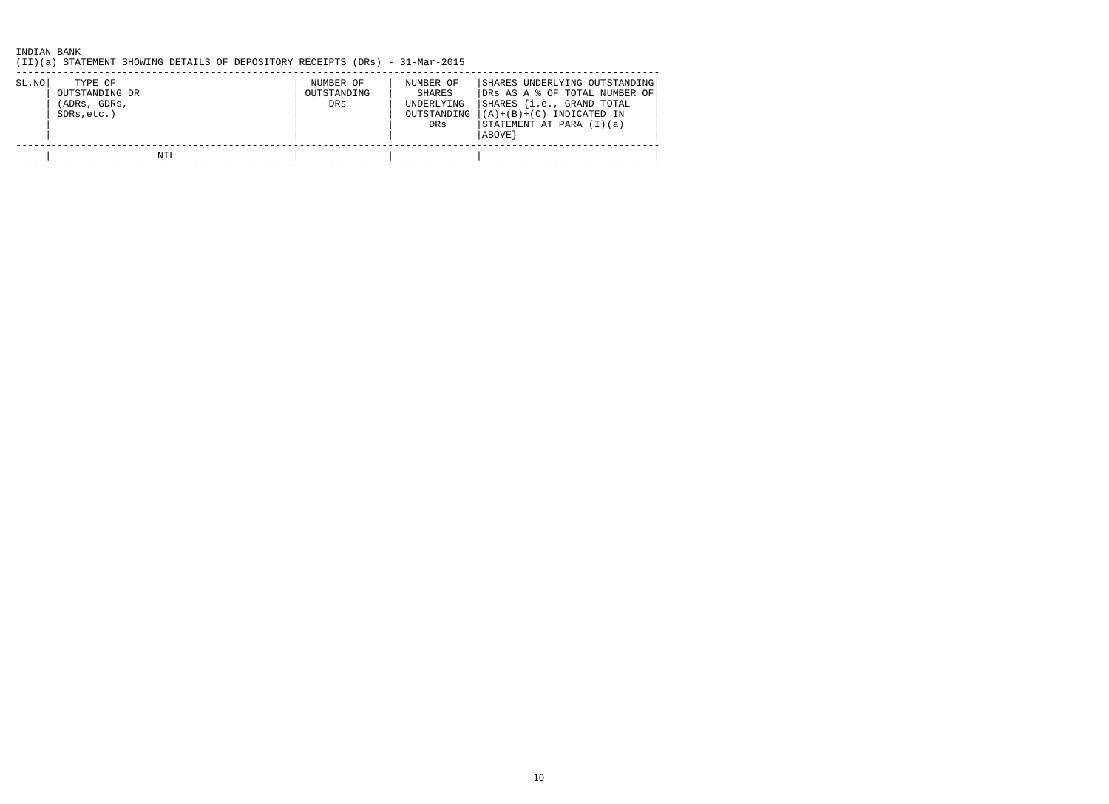(II)(a) STATEMENT SHOWING DETAILS OF DEPOSITORY RECEIPTS (DRs) - 31-Mar-2015

| SL.NO | TYPE OF<br>OUTSTANDING DR<br>(ADRs, GDRs,<br>SDRs, etc.) | NUMBER OF<br>OUTSTANDING<br>DRs | NUMBER OF<br>SHARES<br>UNDERLYING<br>OUTSTANDING<br>DRs | SHARES UNDERLYING OUTSTANDING<br>DRS AS A % OF TOTAL NUMBER OF<br>SHARES {i.e., GRAND TOTAL<br>$ (A)+(B)+(C)$ INDICATED IN<br>STATEMENT AT PARA (I)(a)<br> ABOVE } |
|-------|----------------------------------------------------------|---------------------------------|---------------------------------------------------------|--------------------------------------------------------------------------------------------------------------------------------------------------------------------|
|       | NIL                                                      |                                 |                                                         |                                                                                                                                                                    |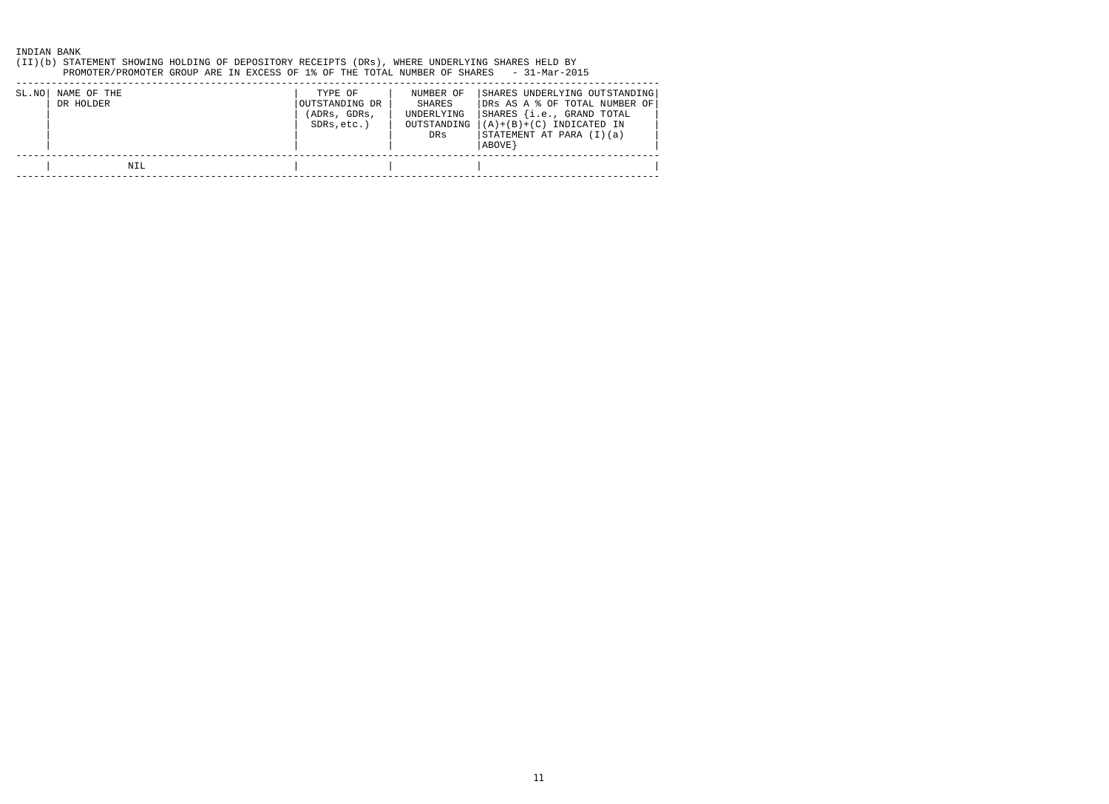(II)(b) STATEMENT SHOWING HOLDING OF DEPOSITORY RECEIPTS (DRs), WHERE UNDERLYING SHARES HELD BY PROMOTER/PROMOTER GROUP ARE IN EXCESS OF 1% OF THE TOTAL NUMBER OF SHARES - 31-Mar-2015

| SL.NO | NAME OF THE<br>DR HOLDER | TYPE OF<br>OUTSTANDING DR<br>(ADRs, GDRs,<br>SDRs, etc.) | NUMBER OF<br>SHARES<br>UNDERLYING<br>OUTSTANDING<br>DRs | SHARES UNDERLYING OUTSTANDING<br>DRS AS A % OF TOTAL NUMBER OF<br>SHARES {i.e., GRAND TOTAL<br>$ (A)+(B)+(C)$ INDICATED IN<br>STATEMENT AT PARA (I)(a)<br>ABOVE } |
|-------|--------------------------|----------------------------------------------------------|---------------------------------------------------------|-------------------------------------------------------------------------------------------------------------------------------------------------------------------|
|       | NIL                      |                                                          |                                                         |                                                                                                                                                                   |
|       |                          |                                                          |                                                         |                                                                                                                                                                   |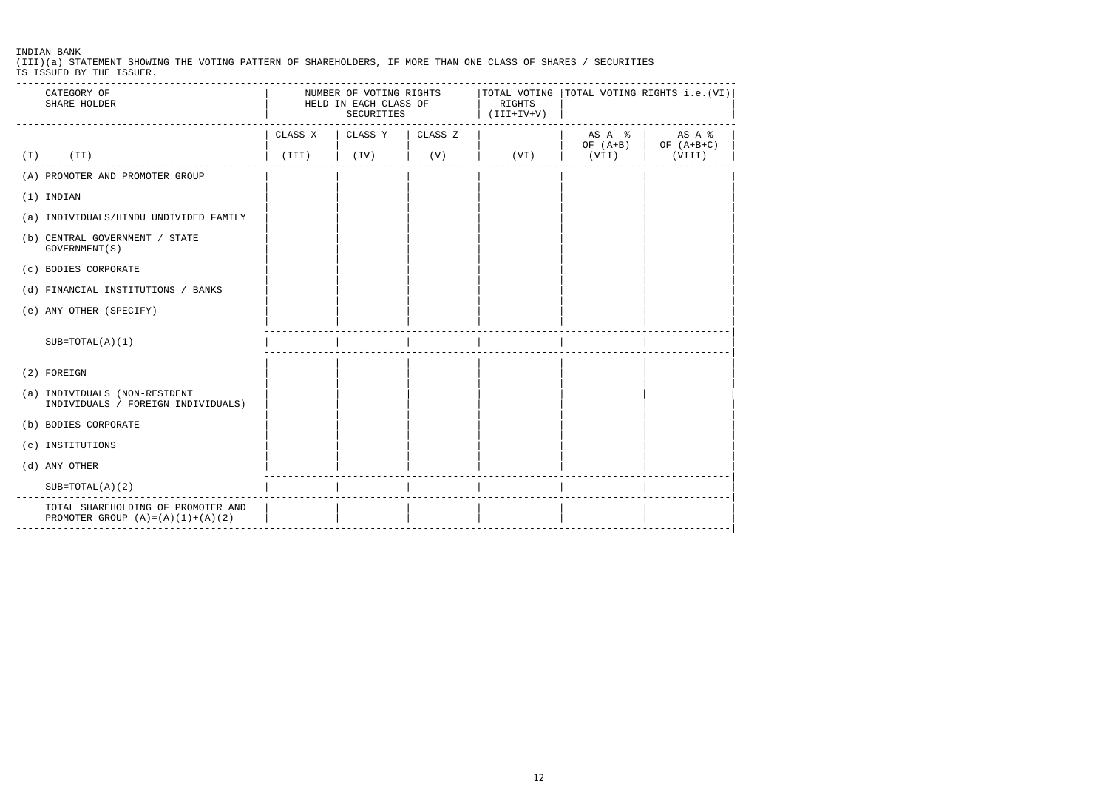(III)(a) STATEMENT SHOWING THE VOTING PATTERN OF SHAREHOLDERS, IF MORE THAN ONE CLASS OF SHARES / SECURITIES IS ISSUED BY THE ISSUER.

| CATEGORY OF<br>SHARE HOLDER                                                    | NUMBER OF VOTING RIGHTS $ $ TOTAL VOTING $ $ TOTAL VOTING RIGHTS i.e.(VI) $ $<br>HELD IN EACH CLASS OF<br>SECURITIES<br>-------- |                             | RIGHTS<br>$(V+V+III)$ |      |               |                                                                                                                                                                       |
|--------------------------------------------------------------------------------|----------------------------------------------------------------------------------------------------------------------------------|-----------------------------|-----------------------|------|---------------|-----------------------------------------------------------------------------------------------------------------------------------------------------------------------|
|                                                                                |                                                                                                                                  | CLASS X   CLASS Y   CLASS Z |                       |      |               | $\begin{array}{c c c c c} \text{AS} & \text{A} & \text{\$} & \text{AS} & \text{A} & \text{\$} \\ \text{OF} & (\text{A+B}) & \text{OF} & (\text{A+B+C}) & \end{array}$ |
| $(I)$ $(II)$                                                                   | (III)                                                                                                                            | $\vert$ (IV)                | (V)                   | (VI) | $\vert$ (VII) | (VIII)                                                                                                                                                                |
| (A) PROMOTER AND PROMOTER GROUP                                                |                                                                                                                                  |                             |                       |      |               |                                                                                                                                                                       |
| $(1)$ INDIAN                                                                   |                                                                                                                                  |                             |                       |      |               |                                                                                                                                                                       |
| (a) INDIVIDUALS/HINDU UNDIVIDED FAMILY                                         |                                                                                                                                  |                             |                       |      |               |                                                                                                                                                                       |
| (b) CENTRAL GOVERNMENT / STATE<br>GOVERNMENT (S)                               |                                                                                                                                  |                             |                       |      |               |                                                                                                                                                                       |
| (c) BODIES CORPORATE                                                           |                                                                                                                                  |                             |                       |      |               |                                                                                                                                                                       |
| (d) FINANCIAL INSTITUTIONS / BANKS                                             |                                                                                                                                  |                             |                       |      |               |                                                                                                                                                                       |
| (e) ANY OTHER (SPECIFY)                                                        |                                                                                                                                  |                             |                       |      |               |                                                                                                                                                                       |
| $SUB=TOTAL(A)(1)$                                                              |                                                                                                                                  |                             |                       |      |               |                                                                                                                                                                       |
| (2) FOREIGN                                                                    |                                                                                                                                  |                             |                       |      |               |                                                                                                                                                                       |
| (a) INDIVIDUALS (NON-RESIDENT<br>INDIVIDUALS / FOREIGN INDIVIDUALS)            |                                                                                                                                  |                             |                       |      |               |                                                                                                                                                                       |
| (b) BODIES CORPORATE                                                           |                                                                                                                                  |                             |                       |      |               |                                                                                                                                                                       |
| (c) INSTITUTIONS                                                               |                                                                                                                                  |                             |                       |      |               |                                                                                                                                                                       |
| (d) ANY OTHER                                                                  |                                                                                                                                  |                             |                       |      |               |                                                                                                                                                                       |
| $SUB=TOTAL(A)(2)$                                                              |                                                                                                                                  |                             |                       |      |               |                                                                                                                                                                       |
| TOTAL SHAREHOLDING OF PROMOTER AND<br>PROMOTER GROUP $(A) = (A) (1) + (A) (2)$ |                                                                                                                                  |                             |                       |      |               |                                                                                                                                                                       |